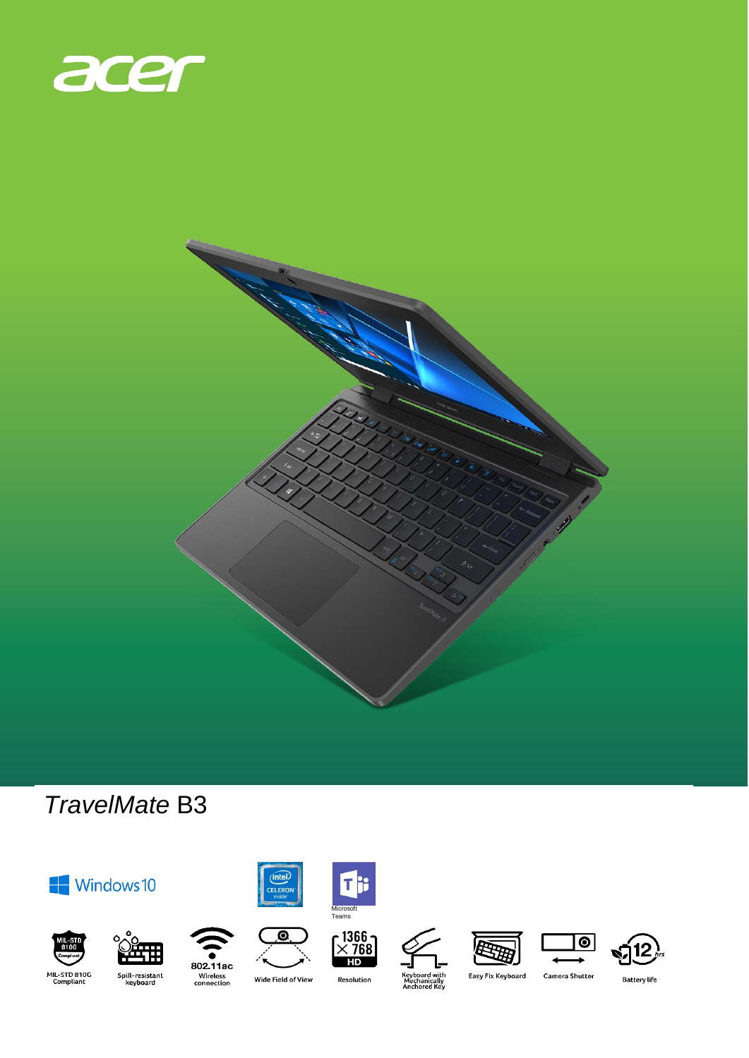



## **TravelMate B3**













(Intel)



**The** 









Spill-resistant<br>keyboard

Wide Field of View

Keyboard<br>Mechanic<br>Anchored

Easy Fix Keyboard

Camera Shutter

Battery life